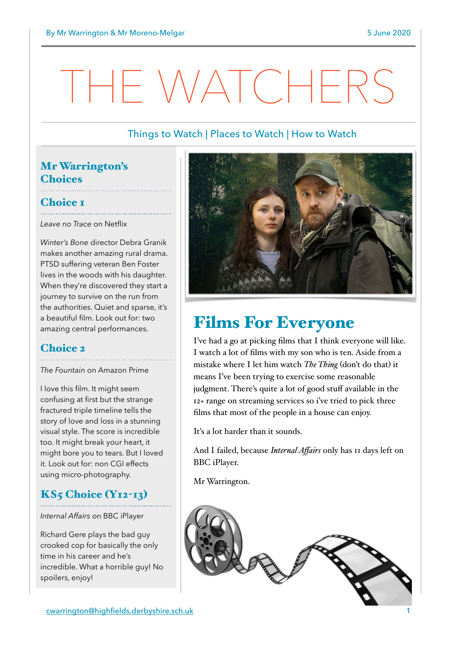# THE WATCHERS

#### Things to Watch | Places to Watch | How to Watch

## Mr Warrington's **Choices**

# Choice I

*Leave no Trace* on Netflix

*Winter's Bone* director Debra Granik makes another amazing rural drama. PTSD suffering veteran Ben Foster lives in the woods with his daughter. When they're discovered they start a journey to survive on the run from the authorities. Quiet and sparse, it's a beautiful film. Look out for: two amazing central performances.

# Choice 2

*The Fountain* on Amazon Prime

I love this film. It might seem confusing at first but the strange fractured triple timeline tells the story of love and loss in a stunning visual style. The score is incredible too. It might break your heart, it might bore you to tears. But I loved it. Look out for: non CGI effects using micro-photography.

### $KS<sub>5</sub> Choice (Y<sub>12-13</sub>)$

*Internal Affairs* on BBC iPlayer

Richard Gere plays the bad guy crooked cop for basically the only time in his career and he's incredible. What a horrible guy! No spoilers, enjoy!



# Films For Everyone

I've had a go at picking films that I think everyone will like. I watch a lot of films with my son who is ten. Aside from a mistake where I let him watch *The Thing* (don't do that) it means I've been trying to exercise some reasonable judgment. There's quite a lot of good stuff available in the 12+ range on streaming services so i've tried to pick three films that most of the people in a house can enjoy.

It's a lot harder than it sounds.

And I failed, because *Internal Affairs* only has 11 days left on BBC iPlayer.

Mr Warrington.